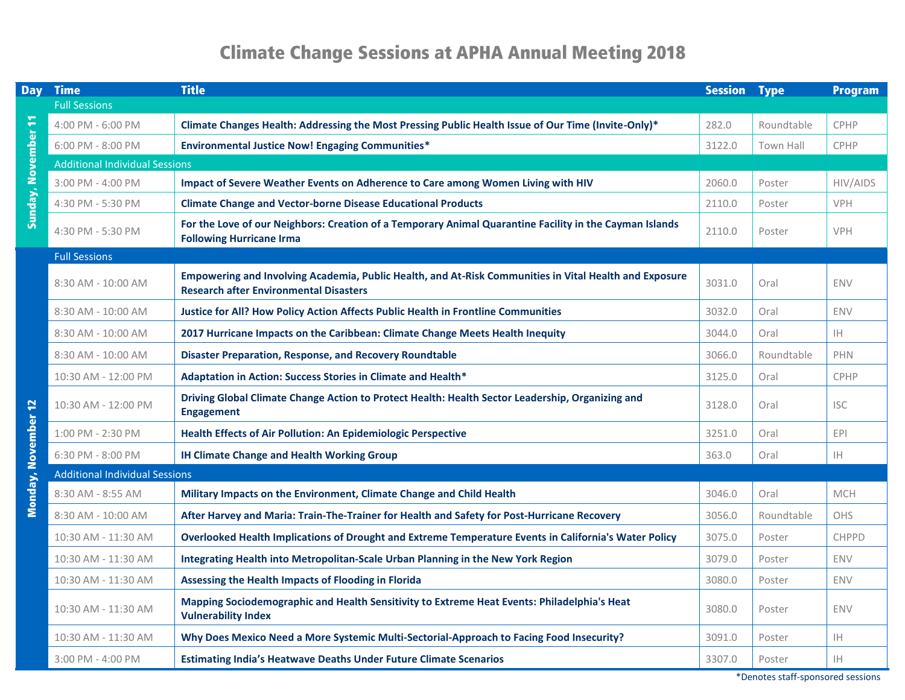## **Climate Change Sessions at APHA Annual Meeting 2018**

| <b>Day</b>                 | <b>Time</b>                           | <b>Title</b>                                                                                                                                            | <b>Session</b> | <b>Type</b> | <b>Program</b>         |  |  |  |  |
|----------------------------|---------------------------------------|---------------------------------------------------------------------------------------------------------------------------------------------------------|----------------|-------------|------------------------|--|--|--|--|
|                            | <b>Full Sessions</b>                  |                                                                                                                                                         |                |             |                        |  |  |  |  |
|                            | 4:00 PM - 6:00 PM                     | Climate Changes Health: Addressing the Most Pressing Public Health Issue of Our Time (Invite-Only)*                                                     | 282.0          | Roundtable  | CPHP                   |  |  |  |  |
|                            | 6:00 PM - 8:00 PM                     | <b>Environmental Justice Now! Engaging Communities*</b>                                                                                                 | 3122.0         | Town Hall   | CPHP                   |  |  |  |  |
|                            | <b>Additional Individual Sessions</b> |                                                                                                                                                         |                |             |                        |  |  |  |  |
|                            | 3:00 PM - 4:00 PM                     | Impact of Severe Weather Events on Adherence to Care among Women Living with HIV                                                                        | 2060.0         | Poster      | HIV/AIDS               |  |  |  |  |
| <b>Sunday, November 11</b> | 4:30 PM - 5:30 PM                     | <b>Climate Change and Vector-borne Disease Educational Products</b>                                                                                     | 2110.0         | Poster      | VPH                    |  |  |  |  |
|                            | 4:30 PM - 5:30 PM                     | For the Love of our Neighbors: Creation of a Temporary Animal Quarantine Facility in the Cayman Islands<br><b>Following Hurricane Irma</b>              | 2110.0         | Poster      | VPH                    |  |  |  |  |
|                            | <b>Full Sessions</b>                  |                                                                                                                                                         |                |             |                        |  |  |  |  |
|                            | 8:30 AM - 10:00 AM                    | Empowering and Involving Academia, Public Health, and At-Risk Communities in Vital Health and Exposure<br><b>Research after Environmental Disasters</b> | 3031.0         | Oral        | <b>ENV</b>             |  |  |  |  |
|                            | 8:30 AM - 10:00 AM                    | <b>Justice for All? How Policy Action Affects Public Health in Frontline Communities</b>                                                                | 3032.0         | Oral        | <b>ENV</b>             |  |  |  |  |
|                            | 8:30 AM - 10:00 AM                    | 2017 Hurricane Impacts on the Caribbean: Climate Change Meets Health Inequity                                                                           | 3044.0         | Oral        | <b>IH</b>              |  |  |  |  |
|                            | 8:30 AM - 10:00 AM                    | <b>Disaster Preparation, Response, and Recovery Roundtable</b>                                                                                          | 3066.0         | Roundtable  | PHN                    |  |  |  |  |
|                            | 10:30 AM - 12:00 PM                   | Adaptation in Action: Success Stories in Climate and Health*                                                                                            | 3125.0         | Oral        | CPHP                   |  |  |  |  |
| <b>Monday, November 12</b> | 10:30 AM - 12:00 PM                   | Driving Global Climate Change Action to Protect Health: Health Sector Leadership, Organizing and<br><b>Engagement</b>                                   | 3128.0         | Oral        | <b>ISC</b>             |  |  |  |  |
|                            | 1:00 PM - 2:30 PM                     | Health Effects of Air Pollution: An Epidemiologic Perspective                                                                                           | 3251.0         | Oral        | EPI                    |  |  |  |  |
|                            | 6:30 PM - 8:00 PM                     | <b>IH Climate Change and Health Working Group</b>                                                                                                       | 363.0          | Oral        | IH                     |  |  |  |  |
|                            | <b>Additional Individual Sessions</b> |                                                                                                                                                         |                |             |                        |  |  |  |  |
|                            | 8:30 AM - 8:55 AM                     | Military Impacts on the Environment, Climate Change and Child Health                                                                                    | 3046.0         | Oral        | <b>MCH</b>             |  |  |  |  |
|                            | 8:30 AM - 10:00 AM                    | After Harvey and Maria: Train-The-Trainer for Health and Safety for Post-Hurricane Recovery                                                             | 3056.0         | Roundtable  | OHS                    |  |  |  |  |
|                            | 10:30 AM - 11:30 AM                   | Overlooked Health Implications of Drought and Extreme Temperature Events in California's Water Policy                                                   | 3075.0         | Poster      | <b>CHPPD</b>           |  |  |  |  |
|                            | 10:30 AM - 11:30 AM                   | Integrating Health into Metropolitan-Scale Urban Planning in the New York Region                                                                        | 3079.0         | Poster      | <b>ENV</b>             |  |  |  |  |
|                            | 10:30 AM - 11:30 AM                   | Assessing the Health Impacts of Flooding in Florida                                                                                                     | 3080.0         | Poster      | <b>ENV</b>             |  |  |  |  |
|                            | 10:30 AM - 11:30 AM                   | Mapping Sociodemographic and Health Sensitivity to Extreme Heat Events: Philadelphia's Heat<br><b>Vulnerability Index</b>                               | 3080.0         | Poster      | <b>ENV</b>             |  |  |  |  |
|                            | 10:30 AM - 11:30 AM                   | Why Does Mexico Need a More Systemic Multi-Sectorial-Approach to Facing Food Insecurity?                                                                | 3091.0         | Poster      | IH                     |  |  |  |  |
|                            | 3:00 PM - 4:00 PM                     | <b>Estimating India's Heatwave Deaths Under Future Climate Scenarios</b>                                                                                | 3307.0         | Poster      | $\mathsf{I}\mathsf{H}$ |  |  |  |  |

\*Denotes staff-sponsored sessions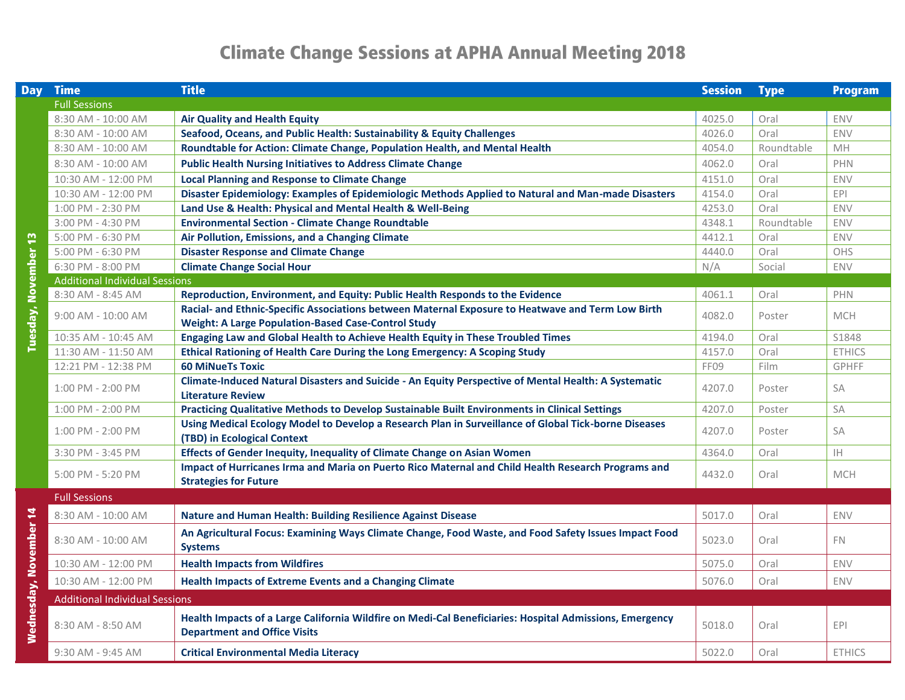## **Climate Change Sessions at APHA Annual Meeting 2018**

| <b>Day</b>                  | <b>Time</b>                           | <b>Title</b>                                                                                                                                   | <b>Session</b> | <b>Type</b> | Program       |
|-----------------------------|---------------------------------------|------------------------------------------------------------------------------------------------------------------------------------------------|----------------|-------------|---------------|
|                             | <b>Full Sessions</b>                  |                                                                                                                                                |                |             |               |
|                             | 8:30 AM - 10:00 AM                    | <b>Air Quality and Health Equity</b>                                                                                                           | 4025.0         | Oral        | <b>ENV</b>    |
|                             | 8:30 AM - 10:00 AM                    | Seafood, Oceans, and Public Health: Sustainability & Equity Challenges                                                                         | 4026.0         | Oral        | ENV           |
|                             | 8:30 AM - 10:00 AM                    | Roundtable for Action: Climate Change, Population Health, and Mental Health                                                                    | 4054.0         | Roundtable  | MH            |
|                             | 8:30 AM - 10:00 AM                    | <b>Public Health Nursing Initiatives to Address Climate Change</b>                                                                             | 4062.0         | Oral        | PHN           |
|                             | 10:30 AM - 12:00 PM                   | <b>Local Planning and Response to Climate Change</b>                                                                                           | 4151.0         | Oral        | ENV           |
|                             | 10:30 AM - 12:00 PM                   | Disaster Epidemiology: Examples of Epidemiologic Methods Applied to Natural and Man-made Disasters                                             | 4154.0         | Oral        | <b>EPI</b>    |
|                             | 1:00 PM - 2:30 PM                     | Land Use & Health: Physical and Mental Health & Well-Being                                                                                     | 4253.0         | Oral        | ENV           |
|                             | 3:00 PM - 4:30 PM                     | <b>Environmental Section - Climate Change Roundtable</b>                                                                                       | 4348.1         | Roundtable  | ENV           |
|                             | 5:00 PM - 6:30 PM                     | Air Pollution, Emissions, and a Changing Climate                                                                                               | 4412.1         | Oral        | ENV           |
|                             | 5:00 PM - 6:30 PM                     | <b>Disaster Response and Climate Change</b>                                                                                                    | 4440.0         | Oral        | OHS           |
|                             | 6:30 PM - 8:00 PM                     | <b>Climate Change Social Hour</b>                                                                                                              | N/A            | Social      | ENV           |
|                             | <b>Additional Individual Sessions</b> |                                                                                                                                                |                |             |               |
|                             | 8:30 AM - 8:45 AM                     | Reproduction, Environment, and Equity: Public Health Responds to the Evidence                                                                  | 4061.1         | Oral        | PHN           |
|                             | 9:00 AM - 10:00 AM                    | Racial- and Ethnic-Specific Associations between Maternal Exposure to Heatwave and Term Low Birth                                              | 4082.0         | Poster      | <b>MCH</b>    |
|                             |                                       | <b>Weight: A Large Population-Based Case-Control Study</b>                                                                                     |                |             |               |
| <b>Tuesday, November 13</b> | 10:35 AM - 10:45 AM                   | Engaging Law and Global Health to Achieve Health Equity in These Troubled Times                                                                | 4194.0         | Oral        | S1848         |
|                             | 11:30 AM - 11:50 AM                   | Ethical Rationing of Health Care During the Long Emergency: A Scoping Study                                                                    | 4157.0         | Oral        | <b>ETHICS</b> |
|                             | 12:21 PM - 12:38 PM                   | <b>60 MiNueTs Toxic</b>                                                                                                                        | FF09           | Film        | <b>GPHFF</b>  |
|                             | 1:00 PM - 2:00 PM                     | Climate-Induced Natural Disasters and Suicide - An Equity Perspective of Mental Health: A Systematic<br><b>Literature Review</b>               | 4207.0         | Poster      | SA            |
|                             | 1:00 PM - 2:00 PM                     | Practicing Qualitative Methods to Develop Sustainable Built Environments in Clinical Settings                                                  | 4207.0         | Poster      | SA            |
|                             | 1:00 PM - 2:00 PM                     | Using Medical Ecology Model to Develop a Research Plan in Surveillance of Global Tick-borne Diseases<br>(TBD) in Ecological Context            | 4207.0         | Poster      | SA            |
|                             | 3:30 PM - 3:45 PM                     | Effects of Gender Inequity, Inequality of Climate Change on Asian Women                                                                        | 4364.0         | Oral        | IH.           |
|                             | 5:00 PM - 5:20 PM                     | Impact of Hurricanes Irma and Maria on Puerto Rico Maternal and Child Health Research Programs and<br><b>Strategies for Future</b>             | 4432.0         | Oral        | <b>MCH</b>    |
|                             | <b>Full Sessions</b>                  |                                                                                                                                                |                |             |               |
|                             | 8:30 AM - 10:00 AM                    | <b>Nature and Human Health: Building Resilience Against Disease</b>                                                                            | 5017.0         | Oral        | <b>ENV</b>    |
| Wednesday, November 14      | 8:30 AM - 10:00 AM                    | An Agricultural Focus: Examining Ways Climate Change, Food Waste, and Food Safety Issues Impact Food<br><b>Systems</b>                         | 5023.0         | Oral        | FN.           |
|                             | 10:30 AM - 12:00 PM                   | <b>Health Impacts from Wildfires</b>                                                                                                           | 5075.0         | Oral        | <b>ENV</b>    |
|                             | 10:30 AM - 12:00 PM                   | <b>Health Impacts of Extreme Events and a Changing Climate</b>                                                                                 | 5076.0         | Oral        | ENV           |
|                             | <b>Additional Individual Sessions</b> |                                                                                                                                                |                |             |               |
|                             | 8:30 AM - 8:50 AM                     | Health Impacts of a Large California Wildfire on Medi-Cal Beneficiaries: Hospital Admissions, Emergency<br><b>Department and Office Visits</b> | 5018.0         | Oral        | <b>EPI</b>    |
|                             | 9:30 AM - 9:45 AM                     | <b>Critical Environmental Media Literacy</b>                                                                                                   | 5022.0         | Oral        | <b>ETHICS</b> |